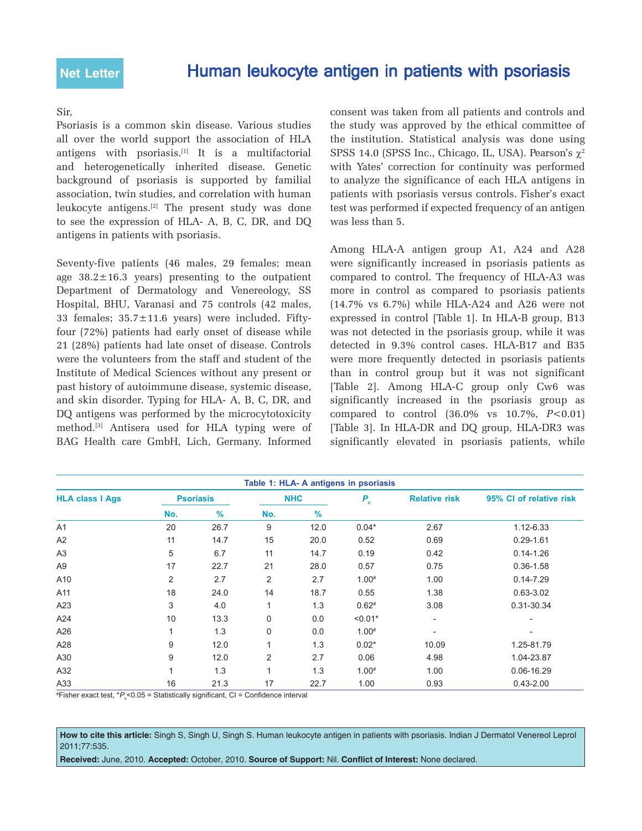## Sir,

Psoriasis is a common skin disease. Various studies all over the world support the association of HLA antigens with psoriasis.[1] It is a multifactorial and heterogenetically inherited disease. Genetic background of psoriasis is supported by familial association, twin studies, and correlation with human leukocyte antigens.[2] The present study was done to see the expression of HLA- A, B, C, DR, and DQ antigens in patients with psoriasis.

Seventy-five patients (46 males, 29 females; mean age  $38.2 \pm 16.3$  years) presenting to the outpatient Department of Dermatology and Venereology, SS Hospital, BHU, Varanasi and 75 controls (42 males, 33 females; 35.7±11.6 years) were included. Fiftyfour (72%) patients had early onset of disease while 21 (28%) patients had late onset of disease. Controls were the volunteers from the staff and student of the Institute of Medical Sciences without any present or past history of autoimmune disease, systemic disease, and skin disorder. Typing for HLA- A, B, C, DR, and DQ antigens was performed by the microcytotoxicity method.[3] Antisera used for HLA typing were of BAG Health care GmbH, Lich, Germany. Informed consent was taken from all patients and controls and the study was approved by the ethical committee of the institution. Statistical analysis was done using SPSS 14.0 (SPSS Inc., Chicago, IL, USA). Pearson's  $\gamma^2$ with Yates' correction for continuity was performed to analyze the significance of each HLA antigens in patients with psoriasis versus controls. Fisher's exact test was performed if expected frequency of an antigen was less than 5.

Among HLA-A antigen group A1, A24 and A28 were significantly increased in psoriasis patients as compared to control. The frequency of HLA-A3 was more in control as compared to psoriasis patients (14.7% vs 6.7%) while HLA-A24 and A26 were not expressed in control [Table 1]. In HLA-B group, B13 was not detected in the psoriasis group, while it was detected in 9.3% control cases. HLA-B17 and B35 were more frequently detected in psoriasis patients than in control group but it was not significant [Table 2]. Among HLA-C group only Cw6 was significantly increased in the psoriasis group as compared to control (36.0% vs 10.7%, *P*<0.01) [Table 3]. In HLA-DR and DQ group, HLA-DR3 was significantly elevated in psoriasis patients, while

| Table 1: HLA- A antigens in psoriasis |                  |      |                |      |            |                              |                          |
|---------------------------------------|------------------|------|----------------|------|------------|------------------------------|--------------------------|
| <b>HLA class I Ags</b>                | <b>Psoriasis</b> |      | <b>NHC</b>     |      | $P_{c}$    | <b>Relative risk</b>         | 95% CI of relative risk  |
|                                       | No.              | $\%$ | No.            | %    |            |                              |                          |
| A <sub>1</sub>                        | 20               | 26.7 | 9              | 12.0 | $0.04*$    | 2.67                         | 1.12-6.33                |
| A2                                    | 11               | 14.7 | 15             | 20.0 | 0.52       | 0.69                         | $0.29 - 1.61$            |
| A <sub>3</sub>                        | 5                | 6.7  | 11             | 14.7 | 0.19       | 0.42                         | $0.14 - 1.26$            |
| A <sub>9</sub>                        | 17               | 22.7 | 21             | 28.0 | 0.57       | 0.75                         | $0.36 - 1.58$            |
| A10                                   | $\overline{2}$   | 2.7  | 2              | 2.7  | $1.00^{#}$ | 1.00                         | $0.14 - 7.29$            |
| A11                                   | 18               | 24.0 | 14             | 18.7 | 0.55       | 1.38                         | $0.63 - 3.02$            |
| A23                                   | 3                | 4.0  | $\mathbf{1}$   | 1.3  | $0.62*$    | 3.08                         | 0.31-30.34               |
| A24                                   | 10               | 13.3 | $\mathbf 0$    | 0.0  | $< 0.01*$  | $\overline{\phantom{a}}$     | $\overline{a}$           |
| A26                                   | $\mathbf{1}$     | 1.3  | $\mathbf 0$    | 0.0  | $1.00^{#}$ | $\qquad \qquad \blacksquare$ | $\overline{\phantom{0}}$ |
| A28                                   | 9                | 12.0 | $\mathbf{1}$   | 1.3  | $0.02*$    | 10.09                        | 1.25-81.79               |
| A30                                   | 9                | 12.0 | $\overline{2}$ | 2.7  | 0.06       | 4.98                         | 1.04-23.87               |
| A32                                   | 1                | 1.3  | $\mathbf{1}$   | 1.3  | $1.00^{#}$ | 1.00                         | 0.06-16.29               |
| A33                                   | 16               | 21.3 | 17             | 22.7 | 1.00       | 0.93                         | $0.43 - 2.00$            |

#Fisher exact test, \* $P_{\varepsilon}$ <0.05 = Statistically significant, CI = Confidence interval

**How to cite this article:** Singh S, Singh U, Singh S. Human leukocyte antigen in patients with psoriasis. Indian J Dermatol Venereol Leprol 2011;77:535.

**Received:** June, 2010. **Accepted:** October, 2010. **Source of Support:** Nil. **Conflict of Interest:** None declared.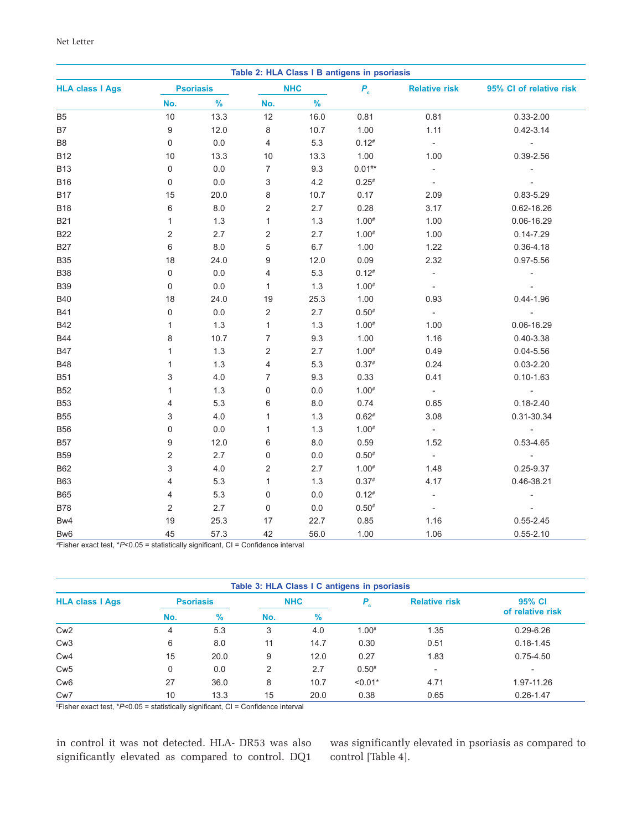| Table 2: HLA Class I B antigens in psoriasis |                  |         |                         |         |             |                             |                          |
|----------------------------------------------|------------------|---------|-------------------------|---------|-------------|-----------------------------|--------------------------|
| <b>HLA class I Ags</b>                       | <b>Psoriasis</b> |         | <b>NHC</b>              |         | $P_c$       | <b>Relative risk</b>        | 95% CI of relative risk  |
|                                              | No.              | $\%$    | No.                     | $\%$    |             |                             |                          |
| B <sub>5</sub>                               | $10$             | 13.3    | 12                      | 16.0    | 0.81        | 0.81                        | $0.33 - 2.00$            |
| <b>B7</b>                                    | 9                | 12.0    | 8                       | 10.7    | 1.00        | 1.11                        | $0.42 - 3.14$            |
| B <sub>8</sub>                               | 0                | $0.0\,$ | $\overline{4}$          | 5.3     | $0.12*$     | $\overline{\phantom{a}}$    | $\overline{\phantom{a}}$ |
| <b>B12</b>                                   | 10               | 13.3    | $10$                    | 13.3    | 1.00        | 1.00                        | 0.39-2.56                |
| <b>B13</b>                                   | 0                | $0.0\,$ | $\boldsymbol{7}$        | 9.3     | $0.01^{**}$ | $\blacksquare$              |                          |
| <b>B16</b>                                   | 0                | 0.0     | 3                       | 4.2     | $0.25^{*}$  | $\Box$                      |                          |
| <b>B17</b>                                   | 15               | 20.0    | 8                       | 10.7    | 0.17        | 2.09                        | 0.83-5.29                |
| <b>B18</b>                                   | 6                | $8.0\,$ | $\overline{\mathbf{c}}$ | 2.7     | 0.28        | 3.17                        | 0.62-16.26               |
| <b>B21</b>                                   | $\mathbf{1}$     | 1.3     | $\mathbf{1}$            | $1.3$   | $1.00*$     | 1.00                        | 0.06-16.29               |
| <b>B22</b>                                   | 2                | 2.7     | 2                       | 2.7     | $1.00*$     | 1.00                        | $0.14 - 7.29$            |
| <b>B27</b>                                   | 6                | $8.0\,$ | 5                       | $6.7\,$ | 1.00        | 1.22                        | $0.36 - 4.18$            |
| <b>B35</b>                                   | 18               | 24.0    | 9                       | 12.0    | 0.09        | 2.32                        | $0.97 - 5.56$            |
| <b>B38</b>                                   | 0                | $0.0\,$ | 4                       | 5.3     | $0.12*$     | $\Box$                      |                          |
| <b>B39</b>                                   | 0                | $0.0\,$ | $\mathbf{1}$            | 1.3     | $1.00*$     | $\Box$                      |                          |
| <b>B40</b>                                   | 18               | 24.0    | 19                      | 25.3    | 1.00        | 0.93                        | $0.44 - 1.96$            |
| <b>B41</b>                                   | 0                | $0.0\,$ | $\overline{c}$          | 2.7     | $0.50*$     | $\overline{\phantom{a}}$    |                          |
| <b>B42</b>                                   | $\mathbf{1}$     | 1.3     | $\mathbf{1}$            | 1.3     | $1.00*$     | 1.00                        | 0.06-16.29               |
| <b>B44</b>                                   | 8                | 10.7    | $\overline{7}$          | 9.3     | 1.00        | 1.16                        | $0.40 - 3.38$            |
| <b>B47</b>                                   | $\mathbf{1}$     | 1.3     | 2                       | 2.7     | $1.00*$     | 0.49                        | $0.04 - 5.56$            |
| <b>B48</b>                                   | $\mathbf{1}$     | 1.3     | 4                       | 5.3     | $0.37*$     | 0.24                        | $0.03 - 2.20$            |
| <b>B51</b>                                   | 3                | 4.0     | 7                       | 9.3     | 0.33        | 0.41                        | $0.10 - 1.63$            |
| <b>B52</b>                                   | $\mathbf{1}$     | 1.3     | $\mathsf 0$             | $0.0\,$ | $1.00*$     | $\overline{\phantom{a}}$    |                          |
| <b>B53</b>                                   | 4                | 5.3     | 6                       | 8.0     | 0.74        | 0.65                        | $0.18 - 2.40$            |
| <b>B55</b>                                   | 3                | 4.0     | $\mathbf{1}$            | 1.3     | $0.62*$     | 3.08                        | 0.31-30.34               |
| <b>B56</b>                                   | 0                | 0.0     | $\mathbf{1}$            | 1.3     | $1.00*$     | $\sim$                      | $\overline{\phantom{a}}$ |
| <b>B57</b>                                   | 9                | 12.0    | 6                       | 8.0     | 0.59        | 1.52                        | $0.53 - 4.65$            |
| <b>B59</b>                                   | 2                | 2.7     | $\mathsf 0$             | $0.0\,$ | $0.50*$     | $\mathcal{L}_{\mathcal{A}}$ | $\overline{\phantom{a}}$ |
| <b>B62</b>                                   | 3                | 4.0     | $\overline{\mathbf{c}}$ | 2.7     | $1.00*$     | 1.48                        | 0.25-9.37                |
| <b>B63</b>                                   | 4                | 5.3     | $\mathbf{1}$            | 1.3     | $0.37*$     | 4.17                        | 0.46-38.21               |
| <b>B65</b>                                   | 4                | 5.3     | $\mathsf 0$             | $0.0\,$ | $0.12*$     | $\blacksquare$              | $\overline{\phantom{m}}$ |
| <b>B78</b>                                   | $\overline{c}$   | 2.7     | $\mathsf 0$             | $0.0\,$ | $0.50*$     | $\overline{\phantom{a}}$    |                          |
| Bw4                                          | 19               | 25.3    | 17                      | 22.7    | 0.85        | 1.16                        | $0.55 - 2.45$            |
| Bw <sub>6</sub>                              | 45               | 57.3    | 42                      | 56.0    | 1.00        | 1.06                        | $0.55 - 2.10$            |

# Fisher exact test, \**P*<0.05 = statistically significant, CI = Confidence interval

| Table 3: HLA Class I C antigens in psoriasis |                  |      |            |      |           |                          |                          |
|----------------------------------------------|------------------|------|------------|------|-----------|--------------------------|--------------------------|
| <b>HLA class I Ags</b>                       | <b>Psoriasis</b> |      | <b>NHC</b> |      | $P_{c}$   | <b>Relative risk</b>     | 95% CI                   |
|                                              | No.              | $\%$ | No.        | $\%$ |           |                          | of relative risk         |
| Cw <sub>2</sub>                              | 4                | 5.3  | 3          | 4.0  | $1.00*$   | 1.35                     | $0.29 - 6.26$            |
| Cw <sub>3</sub>                              | 6                | 8.0  | 11         | 14.7 | 0.30      | 0.51                     | $0.18 - 1.45$            |
| Cw <sub>4</sub>                              | 15               | 20.0 | 9          | 12.0 | 0.27      | 1.83                     | $0.75 - 4.50$            |
| Cw <sub>5</sub>                              | 0                | 0.0  | 2          | 2.7  | $0.50*$   | $\overline{\phantom{a}}$ | $\overline{\phantom{0}}$ |
| Cw <sub>6</sub>                              | 27               | 36.0 | 8          | 10.7 | $< 0.01*$ | 4.71                     | 1.97-11.26               |
| Cw <sub>7</sub>                              | 10               | 13.3 | 15         | 20.0 | 0.38      | 0.65                     | $0.26 - 1.47$            |

# Fisher exact test, \**P*<0.05 = statistically significant, CI = Confidence interval

in control it was not detected. HLA- DR53 was also significantly elevated as compared to control. DQ1 was significantly elevated in psoriasis as compared to control [Table 4].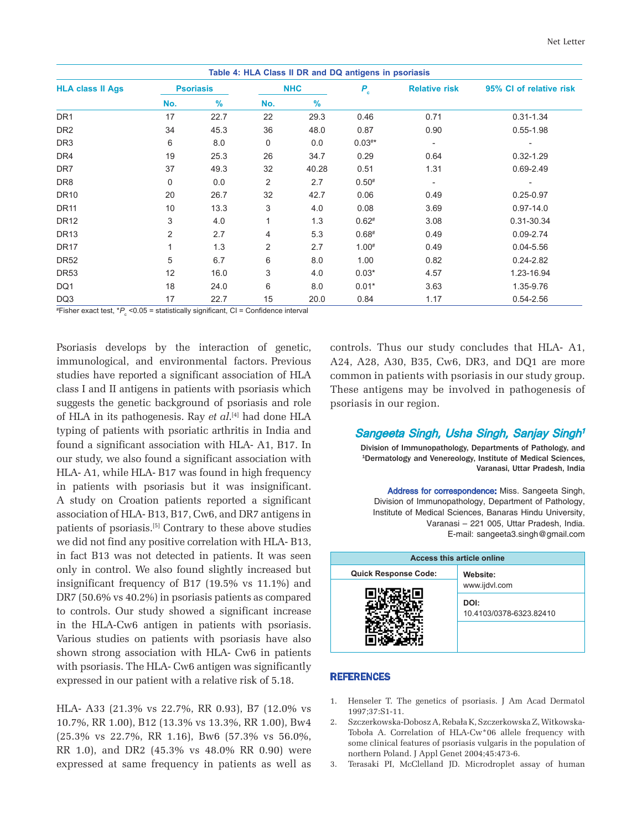| Table 4: HLA Class II DR and DQ antigens in psoriasis |                  |      |            |               |          |                      |                         |
|-------------------------------------------------------|------------------|------|------------|---------------|----------|----------------------|-------------------------|
| <b>HLA class II Ags</b>                               | <b>Psoriasis</b> |      | <b>NHC</b> |               | $P_{c}$  | <b>Relative risk</b> | 95% CI of relative risk |
|                                                       | No.              | $\%$ | No.        | $\frac{9}{6}$ |          |                      |                         |
| DR <sub>1</sub>                                       | 17               | 22.7 | 22         | 29.3          | 0.46     | 0.71                 | $0.31 - 1.34$           |
| DR <sub>2</sub>                                       | 34               | 45.3 | 36         | 48.0          | 0.87     | 0.90                 | $0.55 - 1.98$           |
| DR <sub>3</sub>                                       | 6                | 8.0  | 0          | 0.0           | $0.03**$ |                      |                         |
| DR4                                                   | 19               | 25.3 | 26         | 34.7          | 0.29     | 0.64                 | $0.32 - 1.29$           |
| DR <sub>7</sub>                                       | 37               | 49.3 | 32         | 40.28         | 0.51     | 1.31                 | $0.69 - 2.49$           |
| DR <sub>8</sub>                                       | 0                | 0.0  | 2          | 2.7           | $0.50*$  |                      |                         |
| <b>DR10</b>                                           | 20               | 26.7 | 32         | 42.7          | 0.06     | 0.49                 | $0.25 - 0.97$           |
| <b>DR11</b>                                           | 10               | 13.3 | 3          | 4.0           | 0.08     | 3.69                 | $0.97 - 14.0$           |
| <b>DR12</b>                                           | 3                | 4.0  | 1          | 1.3           | $0.62*$  | 3.08                 | 0.31-30.34              |
| <b>DR13</b>                                           | 2                | 2.7  | 4          | 5.3           | $0.68*$  | 0.49                 | $0.09 - 2.74$           |
| DR <sub>17</sub>                                      |                  | 1.3  | 2          | 2.7           | $1.00*$  | 0.49                 | $0.04 - 5.56$           |
| <b>DR52</b>                                           | 5                | 6.7  | 6          | 8.0           | 1.00     | 0.82                 | $0.24 - 2.82$           |
| <b>DR53</b>                                           | 12               | 16.0 | 3          | 4.0           | $0.03*$  | 4.57                 | 1.23-16.94              |
| DQ1                                                   | 18               | 24.0 | 6          | 8.0           | $0.01*$  | 3.63                 | 1.35-9.76               |
| DQ3                                                   | 17               | 22.7 | 15         | 20.0          | 0.84     | 1.17                 | $0.54 - 2.56$           |

#Fisher exact test, \* $P_{\text{c}}$  <0.05 = statistically significant, CI = Confidence interval

Psoriasis develops by the interaction of genetic, immunological, and environmental factors. Previous studies have reported a significant association of HLA class I and II antigens in patients with psoriasis which suggests the genetic background of psoriasis and role of HLA in its pathogenesis. Ray *et al*. [4] had done HLA typing of patients with psoriatic arthritis in India and found a significant association with HLA- A1, B17. In our study, we also found a significant association with HLA- A1, while HLA- B17 was found in high frequency in patients with psoriasis but it was insignificant. A study on Croation patients reported a significant association of HLA- B13, B17, Cw6, and DR7 antigens in patients of psoriasis.[5] Contrary to these above studies we did not find any positive correlation with HLA- B13, in fact B13 was not detected in patients. It was seen only in control. We also found slightly increased but insignificant frequency of B17 (19.5% vs 11.1%) and DR7 (50.6% vs 40.2%) in psoriasis patients as compared to controls. Our study showed a significant increase in the HLA-Cw6 antigen in patients with psoriasis. Various studies on patients with psoriasis have also shown strong association with HLA- Cw6 in patients with psoriasis. The HLA- Cw6 antigen was significantly expressed in our patient with a relative risk of 5.18.

HLA- A33 (21.3% vs 22.7%, RR 0.93), B7 (12.0% vs 10.7%, RR 1.00), B12 (13.3% vs 13.3%, RR 1.00), Bw4 (25.3% vs 22.7%, RR 1.16), Bw6 (57.3% vs 56.0%, RR 1.0), and DR2 (45.3% vs 48.0% RR 0.90) were expressed at same frequency in patients as well as controls. Thus our study concludes that HLA- A1, A24, A28, A30, B35, Cw6, DR3, and DQ1 are more common in patients with psoriasis in our study group. These antigens may be involved in pathogenesis of psoriasis in our region.

## Sangeeta Singh, Usha Singh, Sanjay Singh<sup>1</sup>

Division of Immunopathology, Departments of Pathology, and 1Dermatology and Venereology, Institute of Medical Sciences, Varanasi, Uttar Pradesh, India

Address for correspondence: Miss. Sangeeta Singh, Division of Immunopathology, Department of Pathology, Institute of Medical Sciences, Banaras Hindu University, Varanasi – 221 005, Uttar Pradesh, India. E-mail: sangeeta3.singh@gmail.com

| <b>Access this article online</b> |                                 |  |  |  |  |
|-----------------------------------|---------------------------------|--|--|--|--|
| <b>Quick Response Code:</b>       | Website:                        |  |  |  |  |
|                                   | www.ijdvl.com                   |  |  |  |  |
|                                   | DOI:<br>10.4103/0378-6323.82410 |  |  |  |  |
|                                   |                                 |  |  |  |  |

## **REFERENCES**

- 1. Henseler T. The genetics of psoriasis. J Am Acad Dermatol 1997;37:S1-11.
- 2. Szczerkowska-Dobosz A, Rebała K, Szczerkowska Z, Witkowska-Toboła A. Correlation of HLA-Cw\*06 allele frequency with some clinical features of psoriasis vulgaris in the population of northern Poland. J Appl Genet 2004;45:473-6.
- 3. Terasaki PI, McClelland JD. Microdroplet assay of human